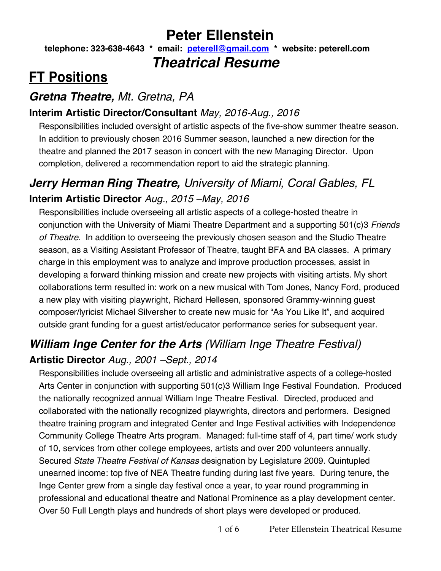## **Peter Ellenstein**

**telephone: 323-638-4643 \* email: peterell@gmail.com \* website: peterell.com**  *Theatrical Resume*

# **FT Positions**

### *Gretna Theatre, Mt. Gretna, PA*

#### **Interim Artistic Director/Consultant** *May, 2016-Aug., 2016*

Responsibilities included oversight of artistic aspects of the five-show summer theatre season. In addition to previously chosen 2016 Summer season, launched a new direction for the theatre and planned the 2017 season in concert with the new Managing Director. Upon completion, delivered a recommendation report to aid the strategic planning.

### *Jerry Herman Ring Theatre, University of Miami, Coral Gables, FL* **Interim Artistic Director** *Aug., 2015 –May, 2016*

Responsibilities include overseeing all artistic aspects of a college-hosted theatre in conjunction with the University of Miami Theatre Department and a supporting 501(c)3 *Friends of Theatre*. In addition to overseeing the previously chosen season and the Studio Theatre season, as a Visiting Assistant Professor of Theatre, taught BFA and BA classes. A primary charge in this employment was to analyze and improve production processes, assist in developing a forward thinking mission and create new projects with visiting artists. My short collaborations term resulted in: work on a new musical with Tom Jones, Nancy Ford, produced a new play with visiting playwright, Richard Hellesen, sponsored Grammy-winning guest composer/lyricist Michael Silversher to create new music for "As You Like It", and acquired outside grant funding for a guest artist/educator performance series for subsequent year.

## *William Inge Center for the Arts (William Inge Theatre Festival)* **Artistic Director** *Aug., 2001 –Sept., 2014*

Responsibilities include overseeing all artistic and administrative aspects of a college-hosted Arts Center in conjunction with supporting 501(c)3 William Inge Festival Foundation. Produced the nationally recognized annual William Inge Theatre Festival. Directed, produced and collaborated with the nationally recognized playwrights, directors and performers. Designed theatre training program and integrated Center and Inge Festival activities with Independence Community College Theatre Arts program. Managed: full-time staff of 4, part time/ work study of 10, services from other college employees, artists and over 200 volunteers annually. Secured *State Theatre Festival of Kansas* designation by Legislature 2009. Quintupled unearned income: top five of NEA Theatre funding during last five years. During tenure, the Inge Center grew from a single day festival once a year, to year round programming in professional and educational theatre and National Prominence as a play development center. Over 50 Full Length plays and hundreds of short plays were developed or produced.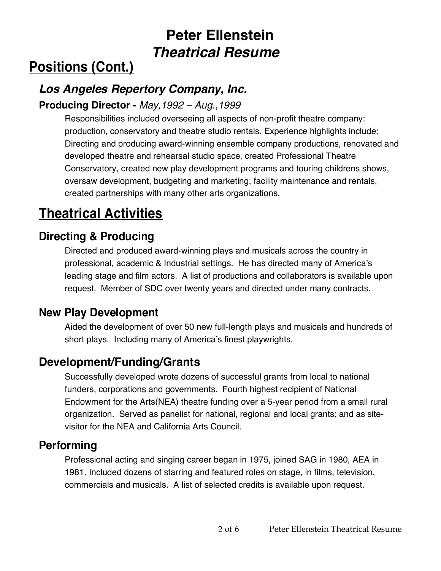# **Positions (Cont.)**

### *Los Angeles Repertory Company, Inc.*

#### **Producing Director -** *May,1992 – Aug.,1999*

Responsibilities included overseeing all aspects of non-profit theatre company: production, conservatory and theatre studio rentals. Experience highlights include: Directing and producing award-winning ensemble company productions, renovated and developed theatre and rehearsal studio space, created Professional Theatre Conservatory, created new play development programs and touring childrens shows, oversaw development, budgeting and marketing, facility maintenance and rentals, created partnerships with many other arts organizations.

# **Theatrical Activities**

### **Directing & Producing**

Directed and produced award-winning plays and musicals across the country in professional, academic & Industrial settings. He has directed many of America's leading stage and film actors. A list of productions and collaborators is available upon request. Member of SDC over twenty years and directed under many contracts.

#### **New Play Development**

Aided the development of over 50 new full-length plays and musicals and hundreds of short plays.Including many of America's finest playwrights.

### **Development/Funding/Grants**

Successfully developed wrote dozens of successful grants from local to national funders, corporations and governments. Fourth highest recipient of National Endowment for the Arts(NEA) theatre funding over a 5-year period from a small rural organization. Served as panelist for national, regional and local grants; and as sitevisitor for the NEA and California Arts Council.

#### **Performing**

Professional acting and singing career began in 1975, joined SAG in 1980, AEA in 1981. Included dozens of starring and featured roles on stage, in films, television, commercials and musicals. A list of selected credits is available upon request.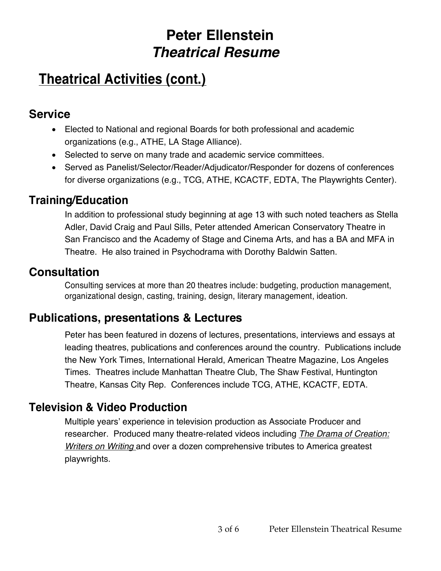## **Theatrical Activities (cont.)**

#### **Service**

- Elected to National and regional Boards for both professional and academic organizations (e.g., ATHE, LA Stage Alliance).
- Selected to serve on many trade and academic service committees.
- Served as Panelist/Selector/Reader/Adjudicator/Responder for dozens of conferences for diverse organizations (e.g., TCG, ATHE, KCACTF, EDTA, The Playwrights Center).

### **Training/Education**

In addition to professional study beginning at age 13 with such noted teachers as Stella Adler, David Craig and Paul Sills, Peter attended American Conservatory Theatre in San Francisco and the Academy of Stage and Cinema Arts, and has a BA and MFA in Theatre. He also trained in Psychodrama with Dorothy Baldwin Satten.

#### **Consultation**

Consulting services at more than 20 theatres include: budgeting, production management, organizational design, casting, training, design, literary management, ideation.

### **Publications, presentations & Lectures**

Peter has been featured in dozens of lectures, presentations, interviews and essays at leading theatres, publications and conferences around the country. Publications include the New York Times, International Herald, American Theatre Magazine, Los Angeles Times. Theatres include Manhattan Theatre Club, The Shaw Festival, Huntington Theatre, Kansas City Rep. Conferences include TCG, ATHE, KCACTF, EDTA.

### **Television & Video Production**

Multiple years' experience in television production as Associate Producer and researcher. Produced many theatre-related videos including *The Drama of Creation: Writers on Writing* and over a dozen comprehensive tributes to America greatest playwrights.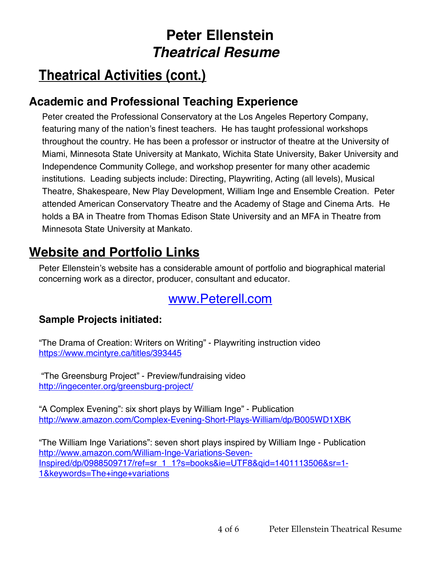# **Theatrical Activities (cont.)**

### **Academic and Professional Teaching Experience**

Peter created the Professional Conservatory at the Los Angeles Repertory Company, featuring many of the nation's finest teachers. He has taught professional workshops throughout the country. He has been a professor or instructor of theatre at the University of Miami, Minnesota State University at Mankato, Wichita State University, Baker University and Independence Community College, and workshop presenter for many other academic institutions. Leading subjects include: Directing, Playwriting, Acting (all levels), Musical Theatre, Shakespeare, New Play Development, William Inge and Ensemble Creation. Peter attended American Conservatory Theatre and the Academy of Stage and Cinema Arts. He holds a BA in Theatre from Thomas Edison State University and an MFA in Theatre from Minnesota State University at Mankato.

## **Website and Portfolio Links**

Peter Ellenstein's website has a considerable amount of portfolio and biographical material concerning work as a director, producer, consultant and educator.

### www.Peterell.com

#### **Sample Projects initiated:**

"The Drama of Creation: Writers on Writing" - Playwriting instruction video https://www.mcintyre.ca/titles/393445

"The Greensburg Project" - Preview/fundraising video http://ingecenter.org/greensburg-project/

"A Complex Evening": six short plays by William Inge" - Publication http://www.amazon.com/Complex-Evening-Short-Plays-William/dp/B005WD1XBK

"The William Inge Variations": seven short plays inspired by William Inge - Publication http://www.amazon.com/William-Inge-Variations-Seven-Inspired/dp/0988509717/ref=sr\_1\_1?s=books&ie=UTF8&qid=1401113506&sr=1- 1&keywords=The+inge+variations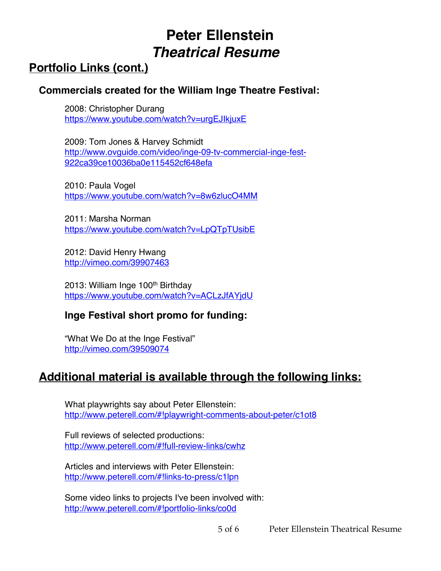### **Portfolio Links (cont.)**

#### **Commercials created for the William Inge Theatre Festival:**

2008: Christopher Durang https://www.youtube.com/watch?v=urgEJIkjuxE

2009: Tom Jones & Harvey Schmidt http://www.ovguide.com/video/inge-09-tv-commercial-inge-fest-922ca39ce10036ba0e115452cf648efa

2010: Paula Vogel https://www.youtube.com/watch?v=8w6zlucO4MM

2011: Marsha Norman https://www.youtube.com/watch?v=LpQTpTUsibE

2012: David Henry Hwang http://vimeo.com/39907463

2013: William Inge 100<sup>th</sup> Birthday https://www.youtube.com/watch?v=ACLzJfAYjdU

#### **Inge Festival short promo for funding:**

"What We Do at the Inge Festival" http://vimeo.com/39509074

### **Additional material is available through the following links:**

What playwrights say about Peter Ellenstein: http://www.peterell.com/#!playwright‐comments-about-peter/c1ot8

Full reviews of selected productions: http://www.peterell.com/#!full-review-links/cwhz

Articles and interviews with Peter Ellenstein: http://www.peterell.com/#!links-to-press/c1lpn

Some video links to projects I've been involved with: http://www.peterell.com/#!portfolio-links/co0d